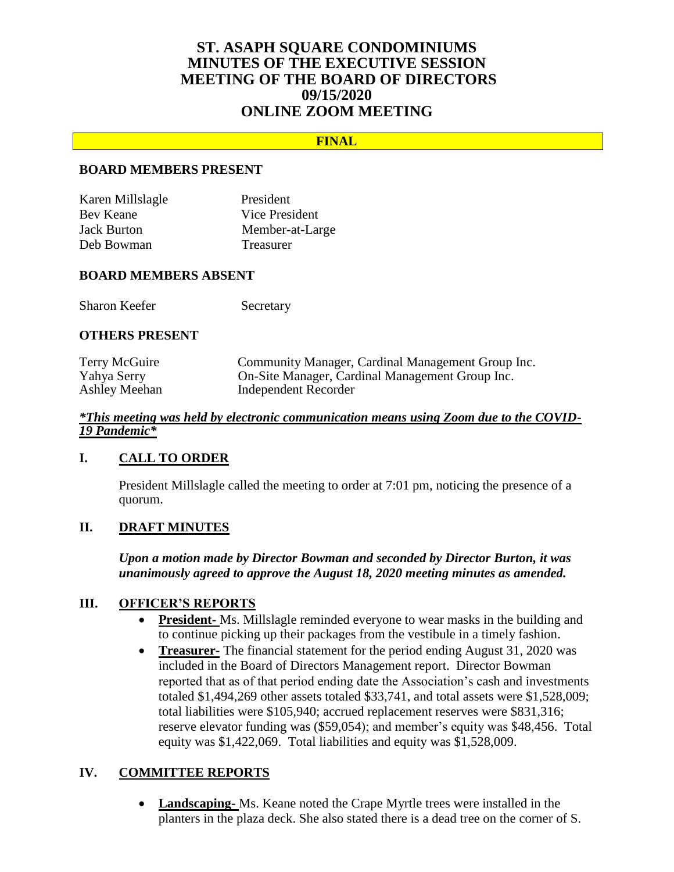# **ST. ASAPH SQUARE CONDOMINIUMS MINUTES OF THE EXECUTIVE SESSION MEETING OF THE BOARD OF DIRECTORS 09/15/2020 ONLINE ZOOM MEETING**

## **FINAL**

### **BOARD MEMBERS PRESENT**

| Karen Millslagle   | President        |
|--------------------|------------------|
| Bev Keane          | Vice President   |
| <b>Jack Burton</b> | Member-at-Large  |
| Deb Bowman         | <b>Treasurer</b> |

#### **BOARD MEMBERS ABSENT**

Sharon Keefer Secretary

#### **OTHERS PRESENT**

| Terry McGuire | Community Manager, Cardinal Management Group Inc. |
|---------------|---------------------------------------------------|
| Yahya Serry   | On-Site Manager, Cardinal Management Group Inc.   |
| Ashley Meehan | Independent Recorder                              |

#### *\*This meeting was held by electronic communication means using Zoom due to the COVID-19 Pandemic\**

### **I. CALL TO ORDER**

President Millslagle called the meeting to order at 7:01 pm, noticing the presence of a quorum.

## **II. DRAFT MINUTES**

*Upon a motion made by Director Bowman and seconded by Director Burton, it was unanimously agreed to approve the August 18, 2020 meeting minutes as amended.*

### **III. OFFICER'S REPORTS**

- **President-** Ms. Millslagle reminded everyone to wear masks in the building and to continue picking up their packages from the vestibule in a timely fashion.
- **Treasurer-** The financial statement for the period ending August 31, 2020 was included in the Board of Directors Management report. Director Bowman reported that as of that period ending date the Association's cash and investments totaled \$1,494,269 other assets totaled \$33,741, and total assets were \$1,528,009; total liabilities were \$105,940; accrued replacement reserves were \$831,316; reserve elevator funding was (\$59,054); and member's equity was \$48,456. Total equity was \$1,422,069. Total liabilities and equity was \$1,528,009.

### **IV. COMMITTEE REPORTS**

 **Landscaping-** Ms. Keane noted the Crape Myrtle trees were installed in the planters in the plaza deck. She also stated there is a dead tree on the corner of S.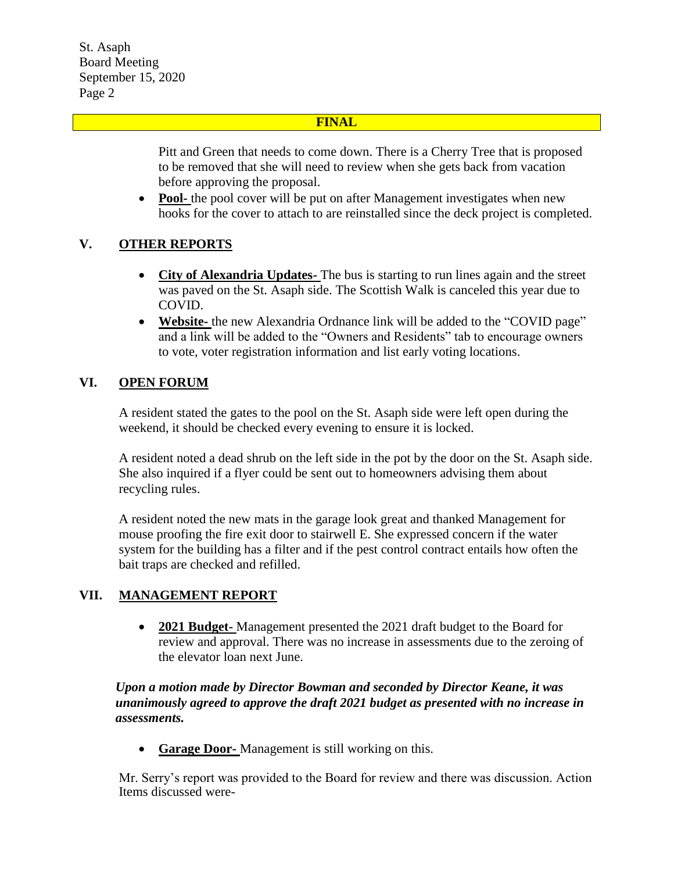St. Asaph Board Meeting September 15, 2020 Page 2

## **FINAL**

Pitt and Green that needs to come down. There is a Cherry Tree that is proposed to be removed that she will need to review when she gets back from vacation before approving the proposal.

• Pool- the pool cover will be put on after Management investigates when new hooks for the cover to attach to are reinstalled since the deck project is completed.

# **V. OTHER REPORTS**

- **City of Alexandria Updates-** The bus is starting to run lines again and the street was paved on the St. Asaph side. The Scottish Walk is canceled this year due to COVID.
- **Website-** the new Alexandria Ordnance link will be added to the "COVID page" and a link will be added to the "Owners and Residents" tab to encourage owners to vote, voter registration information and list early voting locations.

# **VI. OPEN FORUM**

A resident stated the gates to the pool on the St. Asaph side were left open during the weekend, it should be checked every evening to ensure it is locked.

A resident noted a dead shrub on the left side in the pot by the door on the St. Asaph side. She also inquired if a flyer could be sent out to homeowners advising them about recycling rules.

A resident noted the new mats in the garage look great and thanked Management for mouse proofing the fire exit door to stairwell E. She expressed concern if the water system for the building has a filter and if the pest control contract entails how often the bait traps are checked and refilled.

# **VII. MANAGEMENT REPORT**

 **2021 Budget-** Management presented the 2021 draft budget to the Board for review and approval. There was no increase in assessments due to the zeroing of the elevator loan next June.

## *Upon a motion made by Director Bowman and seconded by Director Keane, it was unanimously agreed to approve the draft 2021 budget as presented with no increase in assessments.*

**Garage Door-** Management is still working on this.

Mr. Serry's report was provided to the Board for review and there was discussion. Action Items discussed were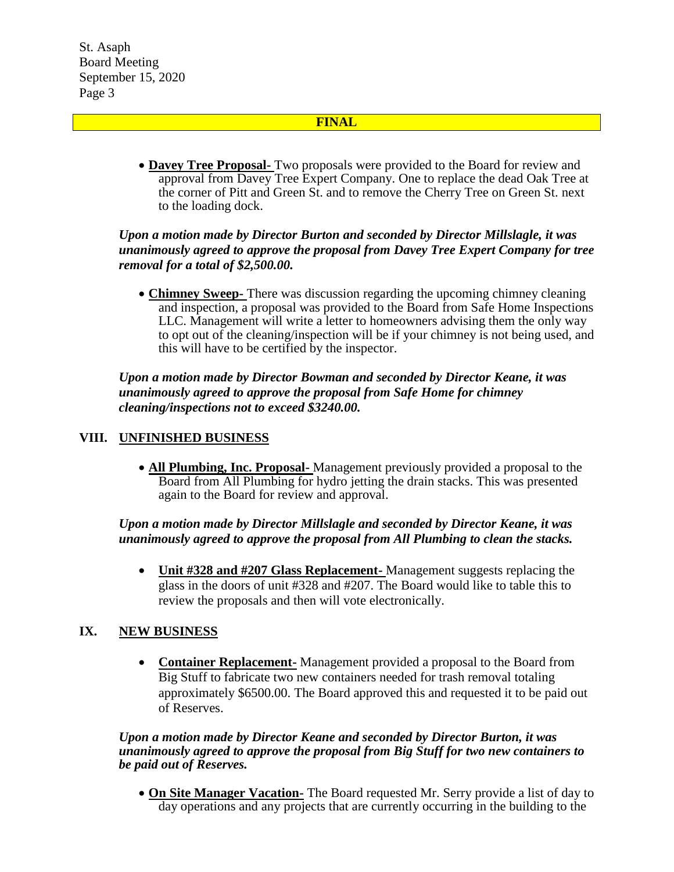St. Asaph Board Meeting September 15, 2020 Page 3

## **FINAL**

 **Davey Tree Proposal-** Two proposals were provided to the Board for review and approval from Davey Tree Expert Company. One to replace the dead Oak Tree at the corner of Pitt and Green St. and to remove the Cherry Tree on Green St. next to the loading dock.

## *Upon a motion made by Director Burton and seconded by Director Millslagle, it was unanimously agreed to approve the proposal from Davey Tree Expert Company for tree removal for a total of \$2,500.00.*

 **Chimney Sweep-** There was discussion regarding the upcoming chimney cleaning and inspection, a proposal was provided to the Board from Safe Home Inspections LLC. Management will write a letter to homeowners advising them the only way to opt out of the cleaning/inspection will be if your chimney is not being used, and this will have to be certified by the inspector.

*Upon a motion made by Director Bowman and seconded by Director Keane, it was unanimously agreed to approve the proposal from Safe Home for chimney cleaning/inspections not to exceed \$3240.00.* 

# **VIII. UNFINISHED BUSINESS**

 **All Plumbing, Inc. Proposal-** Management previously provided a proposal to the Board from All Plumbing for hydro jetting the drain stacks. This was presented again to the Board for review and approval.

## *Upon a motion made by Director Millslagle and seconded by Director Keane, it was unanimously agreed to approve the proposal from All Plumbing to clean the stacks.*

 **Unit #328 and #207 Glass Replacement-** Management suggests replacing the glass in the doors of unit #328 and #207. The Board would like to table this to review the proposals and then will vote electronically.

### **IX. NEW BUSINESS**

 **Container Replacement-** Management provided a proposal to the Board from Big Stuff to fabricate two new containers needed for trash removal totaling approximately \$6500.00. The Board approved this and requested it to be paid out of Reserves.

### *Upon a motion made by Director Keane and seconded by Director Burton, it was unanimously agreed to approve the proposal from Big Stuff for two new containers to be paid out of Reserves.*

 **On Site Manager Vacation-** The Board requested Mr. Serry provide a list of day to day operations and any projects that are currently occurring in the building to the